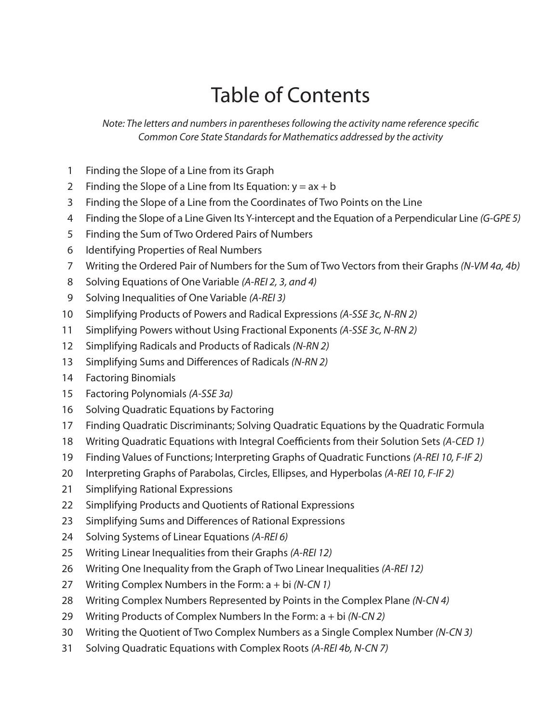## Table of Contents

*Note: The letters and numbers in parentheses following the activity name reference specific Common Core State Standards for Mathematics addressed by the activity*

- Finding the Slope of a Line from its Graph
- 2 Finding the Slope of a Line from Its Equation:  $y = ax + b$
- Finding the Slope of a Line from the Coordinates of Two Points on the Line
- Finding the Slope of a Line Given Its Y-intercept and the Equation of a Perpendicular Line *(G-GPE 5)*
- Finding the Sum of Two Ordered Pairs of Numbers
- Identifying Properties of Real Numbers
- Writing the Ordered Pair of Numbers for the Sum of Two Vectors from their Graphs *(N-VM 4a, 4b)*
- Solving Equations of One Variable *(A-REI 2, 3, and 4)*
- Solving Inequalities of One Variable *(A-REI 3)*
- Simplifying Products of Powers and Radical Expressions *(A-SSE 3c, N-RN 2)*
- Simplifying Powers without Using Fractional Exponents *(A-SSE 3c, N-RN 2)*
- Simplifying Radicals and Products of Radicals *(N-RN 2)*
- Simplifying Sums and Differences of Radicals *(N-RN 2)*
- Factoring Binomials
- Factoring Polynomials *(A-SSE 3a)*
- Solving Quadratic Equations by Factoring
- Finding Quadratic Discriminants; Solving Quadratic Equations by the Quadratic Formula
- Writing Quadratic Equations with Integral Coefficients from their Solution Sets *(A-CED 1)*
- Finding Values of Functions; Interpreting Graphs of Quadratic Functions *(A-REI 10, F-IF 2)*
- Interpreting Graphs of Parabolas, Circles, Ellipses, and Hyperbolas *(A-REI 10, F-IF 2)*
- Simplifying Rational Expressions
- Simplifying Products and Quotients of Rational Expressions
- Simplifying Sums and Differences of Rational Expressions
- Solving Systems of Linear Equations *(A-REI 6)*
- Writing Linear Inequalities from their Graphs *(A-REI 12)*
- Writing One Inequality from the Graph of Two Linear Inequalities *(A-REI 12)*
- Writing Complex Numbers in the Form: a + bi *(N-CN 1)*
- Writing Complex Numbers Represented by Points in the Complex Plane *(N-CN 4)*
- Writing Products of Complex Numbers In the Form: a + bi *(N-CN 2)*
- Writing the Quotient of Two Complex Numbers as a Single Complex Number *(N-CN 3)*
- Solving Quadratic Equations with Complex Roots *(A-REI 4b, N-CN 7)*